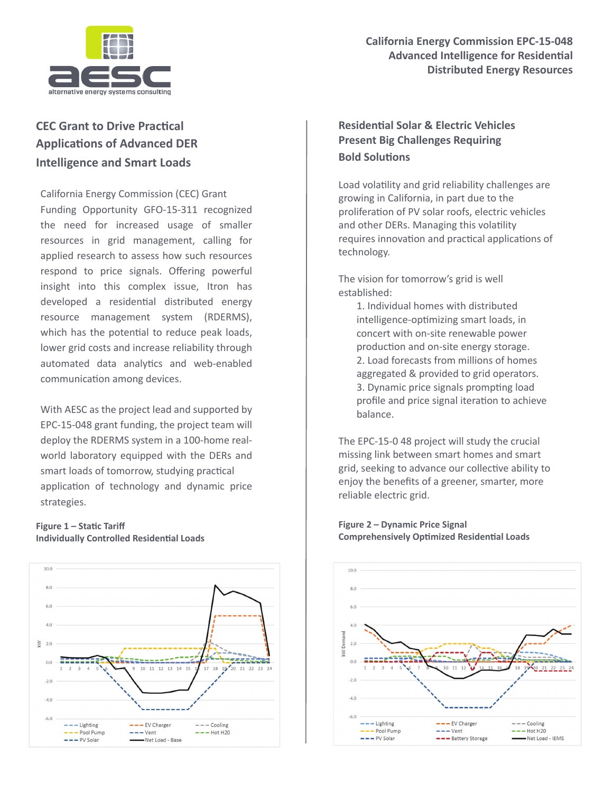

## **California Energy Commission EPC-15-048 Advanced Intelligence for Residential Distributed Energy Resources**

# **CEC Grant to Drive Practical Applications of Advanced DER Intelligence and Smart Loads**

California Energy Commission (CEC) Grant Funding Opportunity GFO-15-311 recognized the need for increased usage of smaller resources in grid management, calling for applied research to assess how such resources respond to price signals. Offering powerful insight into this complex issue, Itron has developed a residential distributed energy resource management system (RDERMS), which has the potential to reduce peak loads, lower grid costs and increase reliability through automated data analytics and web-enabled communication among devices.

With AESC as the project lead and supported by EPC-15-048 grant funding, the project team will deploy the RDERMS system in a 100-home realworld laboratory equipped with the DERs and smart loads of tomorrow, studying practical application of technology and dynamic price strategies.

#### **Figure 1 – Static Tariff Individually Controlled Residential Loads**



## **Residential Solar & Electric Vehicles Present Big Challenges Requiring Bold Solutions**

Load volatility and grid reliability challenges are growing in California, in part due to the proliferation of PV solar roofs, electric vehicles and other DERs. Managing this volatility requires innovation and practical applications of technology.

The vision for tomorrow's grid is well established:

> 1. Individual homes with distributed intelligence-optimizing smart loads, in concert with on-site renewable power production and on-site energy storage. 2. Load forecasts from millions of homes aggregated & provided to grid operators. 3. Dynamic price signals prompting load profile and price signal iteration to achieve balance.

The EPC-15-0 48 project will study the crucial missing link between smart homes and smart grid, seeking to advance our collective ability to enjoy the benefits of a greener, smarter, more reliable electric grid.



**Figure 2 – Dynamic Price Signal Comprehensively Optimized Residential Loads**